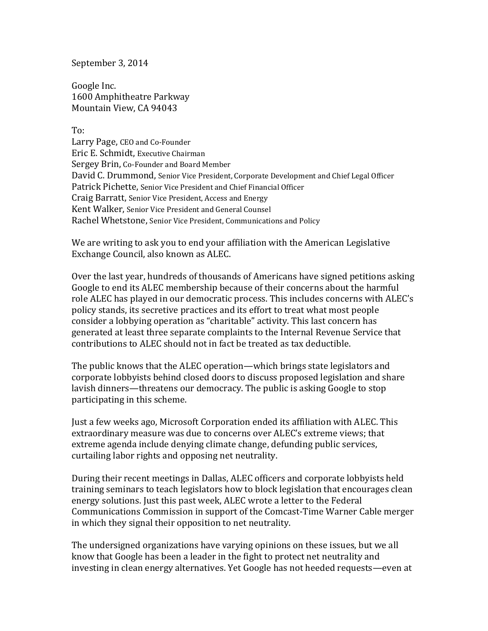September 3, 2014

[Google Inc.](http://maps.google.com/?q=Google%20Inc.@37.423156,-122.084917&hl=en) 1600 Amphitheatre Parkway Mountain View, CA 94043

To:

Larry Page, CEO and Co-Founder Eric E. Schmidt, Executive Chairman Sergey Brin, Co-Founder and Board Member David C. Drummond, Senior Vice President, Corporate Development and Chief Legal Officer Patrick Pichette, Senior Vice President and Chief Financial Officer Craig Barratt, Senior Vice President, Access and Energy Kent Walker, Senior Vice President and General Counsel Rachel Whetstone, Senior Vice President, Communications and Policy

We are writing to ask you to end your affiliation with the American Legislative Exchange Council, also known as ALEC.

Over the last year, hundreds of thousands of Americans have signed petitions asking Google to end its ALEC membership because of their concerns about the harmful role ALEC has played in our democratic process. This includes concerns with ALEC's policy stands, its secretive practices and its effort to treat what most people consider a lobbying operation as "charitable" activity. This last concern has generated at least three separate complaints to the Internal Revenue Service that contributions to ALEC should not in fact be treated as tax deductible.

The public knows that the ALEC operation—which brings state legislators and corporate lobbyists behind closed doors to discuss proposed legislation and share lavish dinners—threatens our democracy. The public is asking Google to stop participating in this scheme.

Just a few weeks ago, Microsoft Corporation ended its affiliation with ALEC. This extraordinary measure was due to concerns over ALEC's extreme views; that extreme agenda include denying climate change, defunding public services, curtailing labor rights and opposing net neutrality.

During their recent meetings in Dallas, ALEC officers and corporate lobbyists held training seminars to teach legislators how to block legislation that encourages clean energy solutions. Just this past week, ALEC wrote a letter to the Federal Communications Commission in support of the Comcast-Time Warner Cable merger in which they signal their opposition to net neutrality.

The undersigned organizations have varying opinions on these issues, but we all know that Google has been a leader in the fight to protect net neutrality and investing in clean energy alternatives. Yet Google has not heeded requests—even at